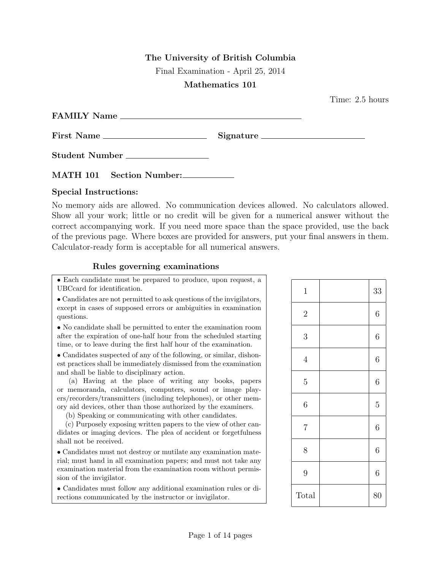## The University of British Columbia

Final Examination - April 25, 2014

## Mathematics 101

Time: 2.5 hours

| <b>FAMILY Name</b> |                  |  |
|--------------------|------------------|--|
| First Name         | $Signature \_\_$ |  |

Student Number

MATH 101 Section Number:

## Special Instructions:

No memory aids are allowed. No communication devices allowed. No calculators allowed. Show all your work; little or no credit will be given for a numerical answer without the correct accompanying work. If you need more space than the space provided, use the back of the previous page. Where boxes are provided for answers, put your final answers in them. Calculator-ready form is acceptable for all numerical answers.

## Rules governing examinations

• Each candidate must be prepared to produce, upon request, a UBCcard for identification.

• Candidates are not permitted to ask questions of the invigilators, except in cases of supposed errors or ambiguities in examination questions.

• No candidate shall be permitted to enter the examination room after the expiration of one-half hour from the scheduled starting time, or to leave during the first half hour of the examination.

• Candidates suspected of any of the following, or similar, dishonest practices shall be immediately dismissed from the examination and shall be liable to disciplinary action.

(a) Having at the place of writing any books, papers or memoranda, calculators, computers, sound or image players/recorders/transmitters (including telephones), or other memory aid devices, other than those authorized by the examiners.

(b) Speaking or communicating with other candidates.

(c) Purposely exposing written papers to the view of other candidates or imaging devices. The plea of accident or forgetfulness shall not be received.

• Candidates must not destroy or mutilate any examination material; must hand in all examination papers; and must not take any examination material from the examination room without permission of the invigilator.

• Candidates must follow any additional examination rules or directions communicated by the instructor or invigilator.

| $\mathbf{1}$   | 33               |
|----------------|------------------|
| $\overline{2}$ | $\overline{6}$   |
| $\overline{3}$ | $\boldsymbol{6}$ |
| $\overline{4}$ | $\overline{6}$   |
| $\overline{5}$ | $\overline{6}$   |
| $\overline{6}$ | $\overline{5}$   |
| $\overline{7}$ | $\boldsymbol{6}$ |
| 8              | 6                |
| 9              | $\overline{6}$   |
| <b>Total</b>   | 80               |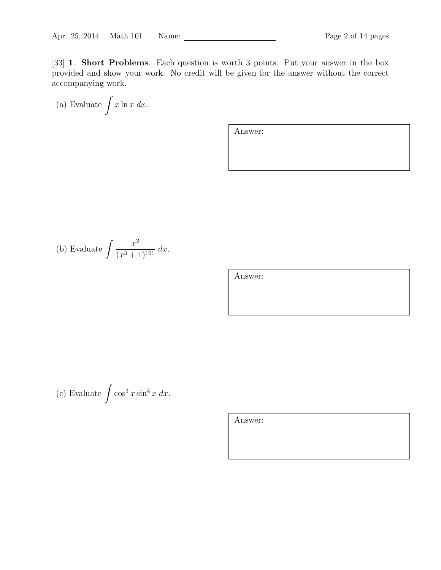[33] 1. Short Problems. Each question is worth 3 points. Put your answer in the box provided and show your work. No credit will be given for the answer without the correct accompanying work.

(a) Evaluate 
$$
\int x \ln x \, dx
$$
.

Answer:

(b) Evaluate 
$$
\int \frac{x^2}{(x^3 + 1)^{101}} dx
$$
.

Answer:

(c) Evaluate 
$$
\int \cos^3 x \sin^4 x \ dx
$$
.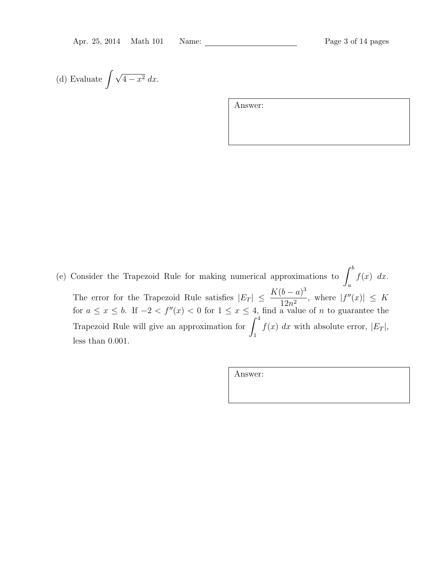(d) Evaluate 
$$
\int \sqrt{4-x^2} \, dx
$$
.

Answer:

(e) Consider the Trapezoid Rule for making numerical approximations to  $\int_0^b f(x) dx$ . The error for the Trapezoid Rule satisfies  $|E_T| \leq \frac{K(b-a)^3}{12a^2}$ , where  $|f''|$  $12n^2$ , where  $|f''(x)| \leq K$ for  $a \leq x \leq b$ . If  $-2 < f''(x) < 0$  for  $1 \leq x \leq 4$ , find a value of n to guarantee the Trapezoid Rule will give an approximation for  $\int^4$ 1  $f(x)$  dx with absolute error,  $|E_T|$ , less than 0.001.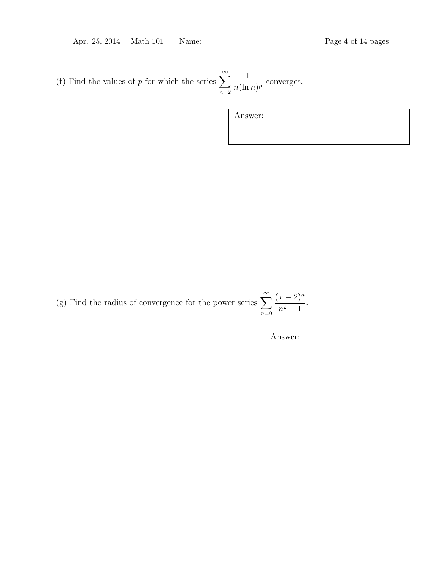Apr. 25, 2014 Math 101 Name: Page 4 of 14 pages

(f) Find the values of p for which the series  $\sum_{n=1}^{\infty}$  $n=2$ 1  $\frac{1}{n(\ln n)^p}$  converges.

Answer:

(g) Find the radius of convergence for the power series  $\sum_{n=1}^{\infty}$  $n=0$  $(x-2)^n$  $\frac{x}{n^2+1}$ .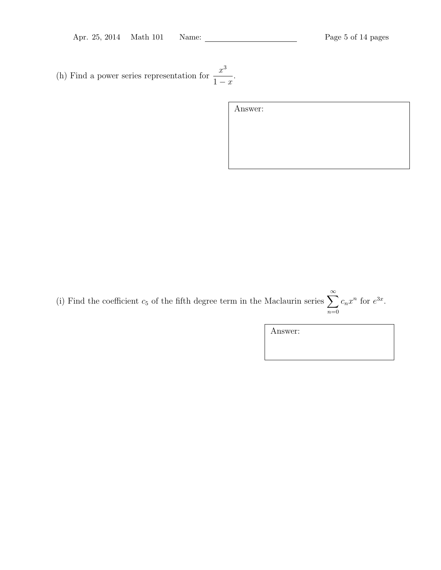(h) Find a power series representation for  $\frac{x^3}{4}$  $1 - x$ .

| Answer: |  |  |  |
|---------|--|--|--|
|         |  |  |  |
|         |  |  |  |
|         |  |  |  |

(i) Find the coefficient  $c_5$  of the fifth degree term in the Maclaurin series  $\sum_{n=1}^{\infty}$  $n=0$  $c_n x^n$  for  $e^{3x}$ .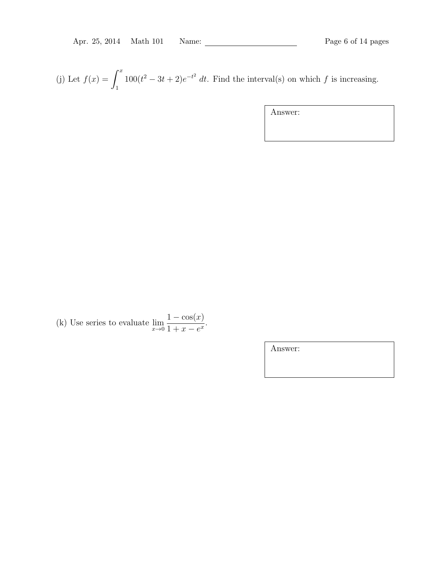(j) Let  $f(x) = \int^x$ 1  $100(t^2 - 3t + 2)e^{-t^2}$  dt. Find the interval(s) on which f is increasing.

Answer:

(k) Use series to evaluate  $\lim_{x\to 0}$  $1 - \cos(x)$  $\frac{1-\cos(x)}{1+x-e^x}.$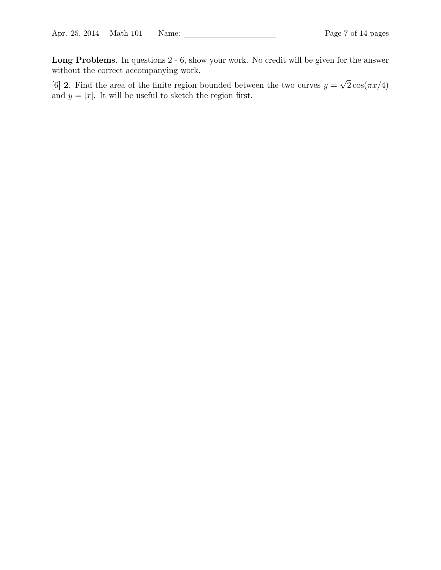Long Problems. In questions 2 - 6, show your work. No credit will be given for the answer without the correct accompanying work.

[6] 2. Find the area of the finite region bounded between the two curves  $y =$ √  $2\cos(\pi x/4)$ and  $y = |x|$ . It will be useful to sketch the region first.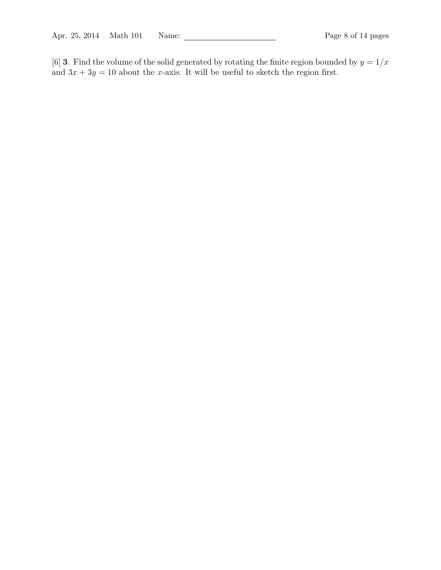[6] **3**. Find the volume of the solid generated by rotating the finite region bounded by  $y = 1/x$ and  $3x + 3y = 10$  about the x-axis. It will be useful to sketch the region first.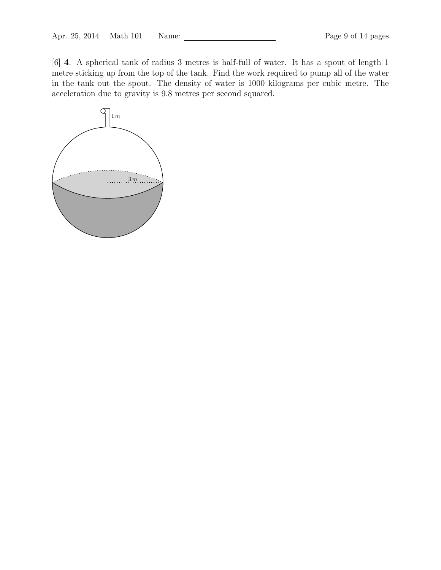[6] 4. A spherical tank of radius 3 metres is half-full of water. It has a spout of length 1 metre sticking up from the top of the tank. Find the work required to pump all of the water in the tank out the spout. The density of water is 1000 kilograms per cubic metre. The acceleration due to gravity is 9.8 metres per second squared.

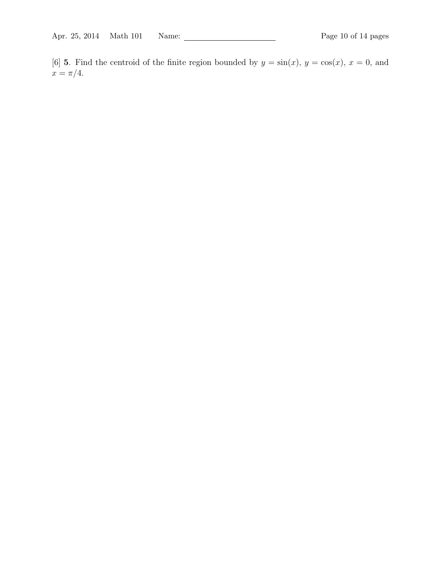[6] **5**. Find the centroid of the finite region bounded by  $y = \sin(x)$ ,  $y = \cos(x)$ ,  $x = 0$ , and  $x = \pi/4.$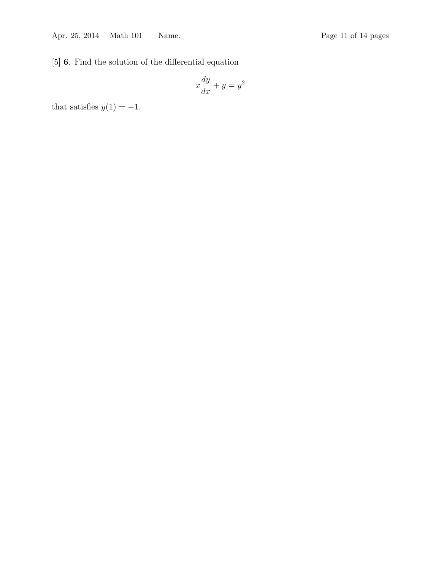[5] 6. Find the solution of the differential equation

$$
x\frac{dy}{dx} + y = y^2
$$

that satisfies  $y(1) = -1$ .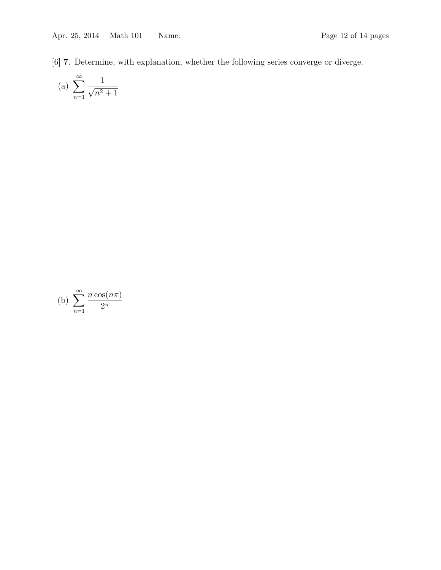[6] 7. Determine, with explanation, whether the following series converge or diverge.

(a) 
$$
\sum_{n=1}^{\infty} \frac{1}{\sqrt{n^2+1}}
$$

(b) 
$$
\sum_{n=1}^{\infty} \frac{n \cos(n\pi)}{2^n}
$$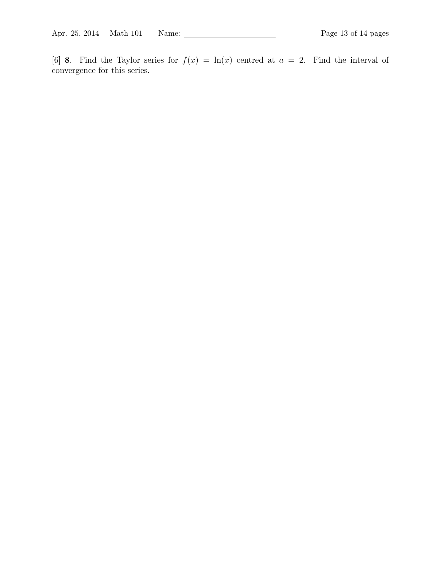[6] 8. Find the Taylor series for  $f(x) = \ln(x)$  centred at  $a = 2$ . Find the interval of convergence for this series.